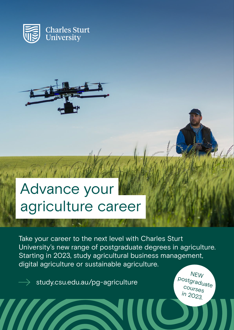



# Advance your agriculture career

Take your career to the next level with Charles Sturt University's new range of postgraduate degrees in agriculture. Starting in 2023, study agricultural business management, digital agriculture or sustainable agriculture.

[study.csu.edu.au/pg-agriculture](https://insight.study.csu.edu.au/masters-in-agriculture/)

NEW postgraduate courses in 2023.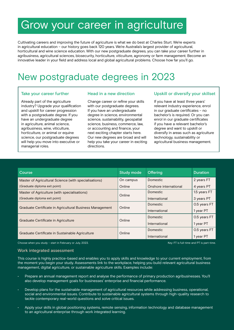# Grow your career in agriculture

Cultivating careers and improving the future of agriculture is what we do best at Charles Sturt. We're experts in agricultural education – our history goes back 120 years. We're Australia's largest provider of agricultural, horticultural and wine science education. With our new postgraduate degrees, you can take your career further in agribusiness, agricultural sciences, biosecurity, horticulture, viticulture, agronomy or farm management. Become an innovative leader in your field and address local and global agricultural problems. Choose how far you'll go.

# New postgraduate degrees in 2023

### Take your career further

Already part of the agriculture industry? Upgrade your qualification and upskill for career progression with a postgraduate degree. If you have an undergraduate degree in agriculture, animal science, agribusiness, wine, viticulture, horticulture, or animal or equine science, our postgraduate degrees will help you move into executive or managerial roles.

### Head in a new direction

Change career or refine your skills with our postgraduate degrees. If you have an undergraduate degree in science, environmental science, sustainability, geospatial science, business, commerce, law, or accounting and finance, your next exciting chapter starts here. Our new degrees are broad and will help you take your career in exciting directions.

### Upskill or diversify your skillset

If you have at least three years' relevant industry experience, enrol in our graduate certificates – no bachelor's is required. Or you can enrol in our graduate certificates if you have a relevant bachelor's degree and want to upskill or diversify in areas such as agriculture technology, sustainability or agricultural business management.

| Course                                                   | <b>Study mode</b> | Offering              | <b>Duration</b> |
|----------------------------------------------------------|-------------------|-----------------------|-----------------|
| Master of Agricultural Science (with specialisations)    | On campus         | Domestic              | 2 years FT      |
| (Graduate diploma exit point)                            | Online            | Onshore international | 4 years PT      |
| Master of Agriculture (with specialisations)             |                   | Domestic              | 1.5 years FT    |
| (Graduate diploma exit point)                            | Online            | International         | 3 years PT      |
|                                                          |                   | Domestic              | 0.5 years FT    |
| Graduate Certificate in Agricultural Business Management | Online            | International         | 1 year PT       |
|                                                          |                   | Domestic              | 0.5 years FT    |
| Graduate Certificate in Agriculture                      | Online            | International         | 1 year PT       |
|                                                          |                   | Domestic              | 0.5 years FT    |
| Graduate Certificate in Sustainable Agriculture          | Online            | International         | 1 year PT       |

Choose when you study – start in February or July, 2023. Key: FT is full-time and PT is part-time.

#### Work integrated assessment

This course is highly practice-based and enables you to apply skills and knowledge to your current employment, from the moment you begin your study. Assessments link to the workplace, helping you build relevant agricultural business management, digital agriculture, or sustainable agriculture skills. Examples include:

- Prepare an annual management report and analyse the performance of primary production agribusinesses. You'll also develop management goals for businesses' enterprise and financial performance.
- Develop plans for the sustainable management of agricultural resources while addressing business, operational, social and environmental issues. Contribute to sustainable agricultural systems through high-quality research to tackle contemporary real-world questions and solve critical issues.
- Apply your skills in global positioning systems, remote sensing, information technology and database management to an agricultural enterprise through work integrated learning.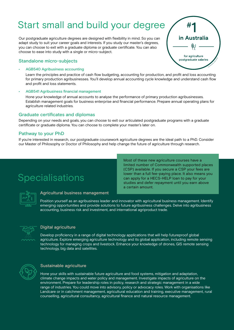# Start small and build your degree

Our postgraduate agriculture degrees are designed with flexibility in mind. So you can adapt study to suit your career goals and interests. If you study our master's degrees, you can choose to exit with a graduate diploma or graduate certificate. You can also choose to ease into study with a single or micro-subject.

# Standalone micro-subjects

#### • AGB540 Agribusiness accounting

Learn the principles and practice of cash flow budgeting, accounting for production, and profit and loss accounting for primary production agribusinesses. You'll develop annual accounting cycle knowledge and understand cash flow and profit and loss statements.

#### • AGB541 Agribusiness financial management

Hone your knowledge of annual accounts to analyse the performance of primary production agribusinesses. Establish management goals for business enterprise and financial performance. Prepare annual operating plans for agriculture related industries.

## Graduate certificates and diplomas

Depending on your needs and goals, you can choose to exit our articulated postgraduate programs with a graduate certificate or graduate diploma. You can choose to complete your master's later on.

# Pathway to your PhD

If you're interested in research, our postgraduate coursework agriculture degrees are the ideal path to a PhD. Consider our Master of Philosophy or Doctor of Philosophy and help change the future of agriculture through research.

# Specialisations

Most of these new agriculture courses have a limited number of Commonwealth supported places (CSP) available. If you secure a CSP your fees are lower than a full fee-paying place. It also means you can apply for a HECS-HELP loan to pay for your studies and defer repayment until you earn above a certain amount.

₩.

in Australia

for agriculture postgraduate salaries

### Agricultural business management

Position yourself as an agribusiness leader and innovator with agricultural business management. Identify emerging opportunities and provide solutions to future agribusiness challenges. Delve into agribusiness accounting, business risk and investment, and international agriproduct trade.



#### Digital agriculture

Develop proficiency in a range of digital technology applications that will help futureproof global agriculture. Explore emerging agriculture technology and its global application, including remote sensing technology for managing crops and livestock. Enhance your knowledge of drones, GIS remote sensing technology, big data and satellites.



### Sustainable agriculture

Hone your skills with sustainable future agriculture and food systems, mitigation and adaptation, climate change impacts and water policy and management. Investigate impacts of agriculture on the environment. Prepare for leadership roles in policy, research and strategic management in a wide range of industries. You could move into advisory, policy or advocacy roles. Work with organisations like Landcare or in catchment management, agricultural education and training, executive management, rural counselling, agricultural consultancy, agricultural finance and natural resource management.